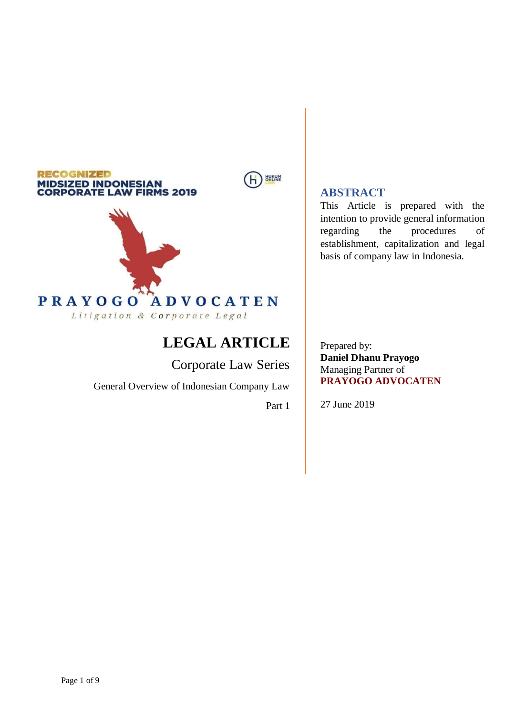# **RECOGNIZED MIDSIZED INDONESIAN<br>CORPORATE LAW FIRMS 2019**





# **LEGAL ARTICLE**

Corporate Law Series

General Overview of Indonesian Company Law

Part 1

# **ABSTRACT**

This Article is prepared with the intention to provide general information regarding the procedures of establishment, capitalization and legal basis of company law in Indonesia.

Prepared by: **Daniel Dhanu Prayogo** Managing Partner of **PRAYOGO ADVOCATEN**

27 June 2019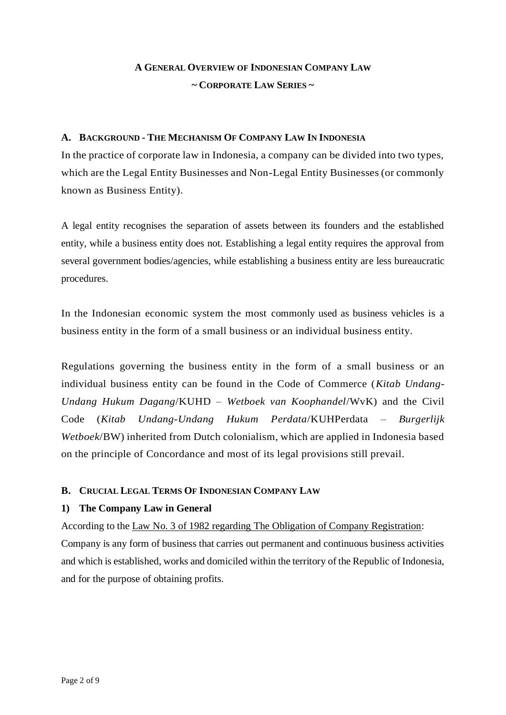# **A GENERAL OVERVIEW OF INDONESIAN COMPANY LAW ~ CORPORATE LAW SERIES ~**

#### **A. BACKGROUND - THE MECHANISM OF COMPANY LAW IN INDONESIA**

In the practice of corporate law in Indonesia, a company can be divided into two types, which are the Legal Entity Businesses and Non-Legal Entity Businesses (or commonly known as Business Entity).

A legal entity recognises the separation of assets between its founders and the established entity, while a business entity does not. Establishing a legal entity requires the approval from several government bodies/agencies, while establishing a business entity are less bureaucratic procedures.

In the Indonesian economic system the most commonly used as business vehicles is a business entity in the form of a small business or an individual business entity.

Regulations governing the business entity in the form of a small business or an individual business entity can be found in the Code of Commerce (*Kitab Undang-Undang Hukum Dagang*/KUHD – *Wetboek van Koophandel*/WvK) and the Civil Code (*Kitab Undang-Undang Hukum Perdata*/KUHPerdata – *Burgerlijk Wetboek*/BW) inherited from Dutch colonialism, which are applied in Indonesia based on the principle of Concordance and most of its legal provisions still prevail.

### **B. CRUCIAL LEGAL TERMS OF INDONESIAN COMPANY LAW**

### **1) The Company Law in General**

According to the Law No. 3 of 1982 regarding The Obligation of Company Registration: Company is any form of business that carries out permanent and continuous business activities and which is established, works and domiciled within the territory of the Republic of Indonesia, and for the purpose of obtaining profits.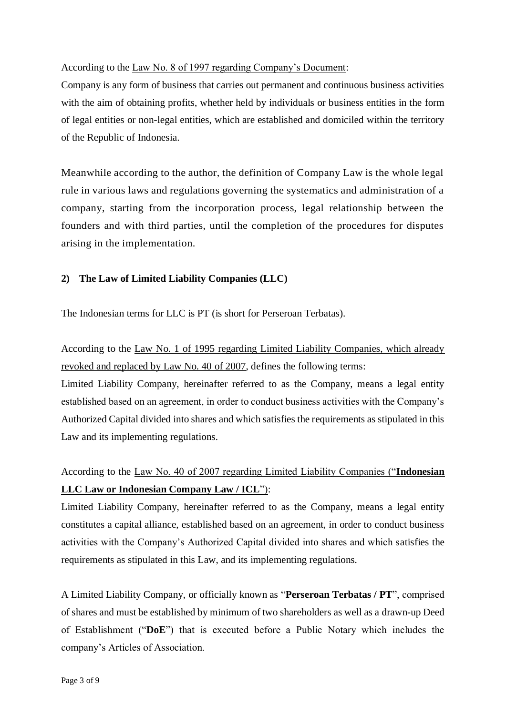### According to the Law No. 8 of 1997 regarding Company's Document:

Company is any form of business that carries out permanent and continuous business activities with the aim of obtaining profits, whether held by individuals or business entities in the form of legal entities or non-legal entities, which are established and domiciled within the territory of the Republic of Indonesia.

Meanwhile according to the author, the definition of Company Law is the whole legal rule in various laws and regulations governing the systematics and administration of a company, starting from the incorporation process, legal relationship between the founders and with third parties, until the completion of the procedures for disputes arising in the implementation.

### **2) The Law of Limited Liability Companies (LLC)**

The Indonesian terms for LLC is PT (is short for Perseroan Terbatas).

According to the Law No. 1 of 1995 regarding Limited Liability Companies, which already revoked and replaced by Law No. 40 of 2007, defines the following terms:

Limited Liability Company, hereinafter referred to as the Company, means a legal entity established based on an agreement, in order to conduct business activities with the Company's Authorized Capital divided into shares and which satisfies the requirements as stipulated in this Law and its implementing regulations.

# According to the Law No. 40 of 2007 regarding Limited Liability Companies ("**Indonesian LLC Law or Indonesian Company Law / ICL**"):

Limited Liability Company, hereinafter referred to as the Company, means a legal entity constitutes a capital alliance, established based on an agreement, in order to conduct business activities with the Company's Authorized Capital divided into shares and which satisfies the requirements as stipulated in this Law, and its implementing regulations.

A Limited Liability Company, or officially known as "**Perseroan Terbatas / PT**", comprised of shares and must be established by minimum of two shareholders as well as a drawn-up Deed of Establishment ("**DoE**") that is executed before a Public Notary which includes the company's Articles of Association.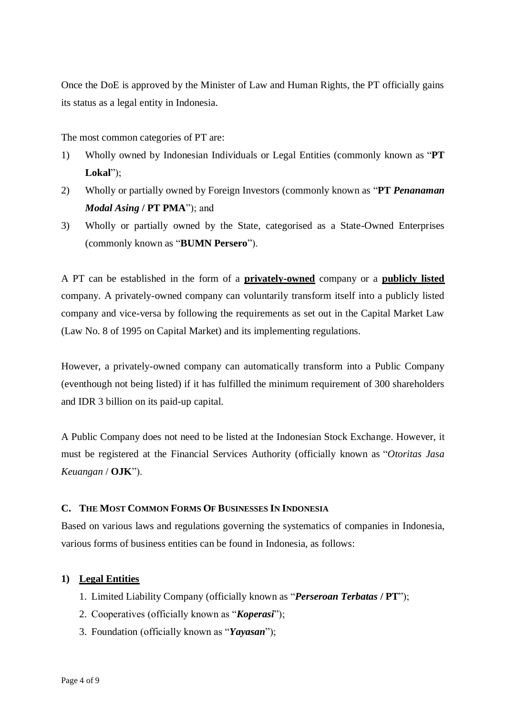Once the DoE is approved by the Minister of Law and Human Rights, the PT officially gains its status as a legal entity in Indonesia.

The most common categories of PT are:

- 1) Wholly owned by Indonesian Individuals or Legal Entities (commonly known as "**PT Lokal**");
- 2) Wholly or partially owned by Foreign Investors (commonly known as "**PT** *Penanaman Modal Asing* **/ PT PMA**"); and
- 3) Wholly or partially owned by the State, categorised as a State-Owned Enterprises (commonly known as "**BUMN Persero**").

A PT can be established in the form of a **privately-owned** company or a **publicly listed** company. A privately-owned company can voluntarily transform itself into a publicly listed company and vice-versa by following the requirements as set out in the Capital Market Law (Law No. 8 of 1995 on Capital Market) and its implementing regulations.

However, a privately-owned company can automatically transform into a Public Company (eventhough not being listed) if it has fulfilled the minimum requirement of 300 shareholders and IDR 3 billion on its paid-up capital.

A Public Company does not need to be listed at the Indonesian Stock Exchange. However, it must be registered at the Financial Services Authority (officially known as "*Otoritas Jasa Keuangan* / **OJK**").

#### **C. THE MOST COMMON FORMS OF BUSINESSES IN INDONESIA**

Based on various laws and regulations governing the systematics of companies in Indonesia, various forms of business entities can be found in Indonesia, as follows:

#### **1) Legal Entities**

- 1. Limited Liability Company (officially known as "*Perseroan Terbatas* **/ PT**");
- 2. Cooperatives (officially known as "*Koperasi*");
- 3. Foundation (officially known as "*Yayasan*");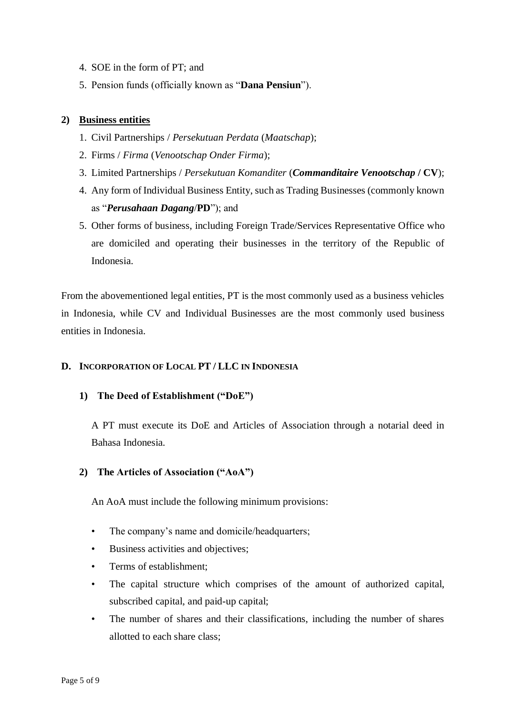- 4. SOE in the form of PT; and
- 5. Pension funds (officially known as "**Dana Pensiun**").

### **2) Business entities**

- 1. Civil Partnerships / *Persekutuan Perdata* (*Maatschap*);
- 2. Firms / *Firma* (*Venootschap Onder Firma*);
- 3. Limited Partnerships / *Persekutuan Komanditer* (*Commanditaire Venootschap* **/ CV**);
- 4. Any form of Individual Business Entity, such as Trading Businesses (commonly known as "*Perusahaan Dagang*/**PD**"); and
- 5. Other forms of business, including Foreign Trade/Services Representative Office who are domiciled and operating their businesses in the territory of the Republic of Indonesia.

From the abovementioned legal entities, PT is the most commonly used as a business vehicles in Indonesia, while CV and Individual Businesses are the most commonly used business entities in Indonesia.

### **D. INCORPORATION OF LOCAL PT / LLC IN INDONESIA**

### **1) The Deed of Establishment ("DoE")**

A PT must execute its DoE and Articles of Association through a notarial deed in Bahasa Indonesia.

## **2) The Articles of Association ("AoA")**

An AoA must include the following minimum provisions:

- The company's name and domicile/headquarters;
- Business activities and objectives;
- Terms of establishment:
- The capital structure which comprises of the amount of authorized capital, subscribed capital, and paid-up capital;
- The number of shares and their classifications, including the number of shares allotted to each share class;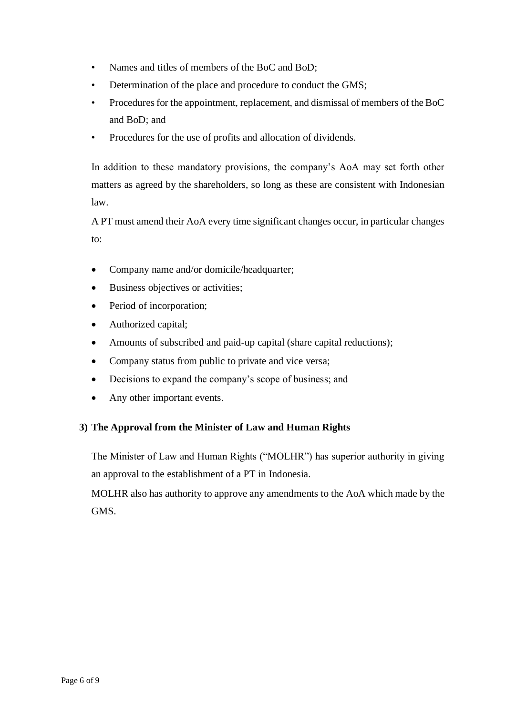- Names and titles of members of the BoC and BoD;
- Determination of the place and procedure to conduct the GMS;
- Procedures for the appointment, replacement, and dismissal of members of the BoC and BoD; and
- Procedures for the use of profits and allocation of dividends.

In addition to these mandatory provisions, the company's AoA may set forth other matters as agreed by the shareholders, so long as these are consistent with Indonesian law.

A PT must amend their AoA every time significant changes occur, in particular changes to:

- Company name and/or domicile/headquarter;
- Business objectives or activities;
- Period of incorporation;
- Authorized capital;
- Amounts of subscribed and paid-up capital (share capital reductions);
- Company status from public to private and vice versa;
- Decisions to expand the company's scope of business; and
- Any other important events.

### **3) The Approval from the Minister of Law and Human Rights**

The Minister of Law and Human Rights ("MOLHR") has superior authority in giving an approval to the establishment of a PT in Indonesia.

MOLHR also has authority to approve any amendments to the AoA which made by the GMS.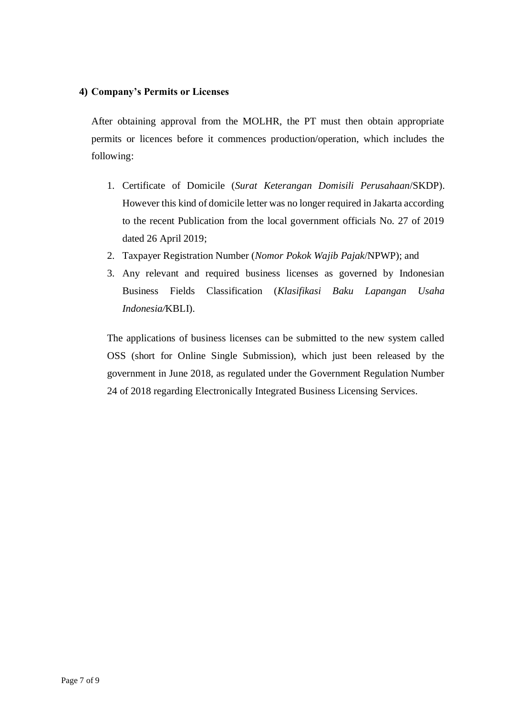#### **4) Company's Permits or Licenses**

After obtaining approval from the MOLHR, the PT must then obtain appropriate permits or licences before it commences production/operation, which includes the following:

- 1. Certificate of Domicile (*Surat Keterangan Domisili Perusahaan*/SKDP). However this kind of domicile letter was no longer required in Jakarta according to the recent Publication from the local government officials No. 27 of 2019 dated 26 April 2019;
- 2. Taxpayer Registration Number (*Nomor Pokok Wajib Pajak*/NPWP); and
- 3. Any relevant and required business licenses as governed by Indonesian Business Fields Classification (*Klasifikasi Baku Lapangan Usaha Indonesia/*KBLI).

The applications of business licenses can be submitted to the new system called OSS (short for Online Single Submission), which just been released by the government in June 2018, as regulated under the Government Regulation Number 24 of 2018 regarding Electronically Integrated Business Licensing Services.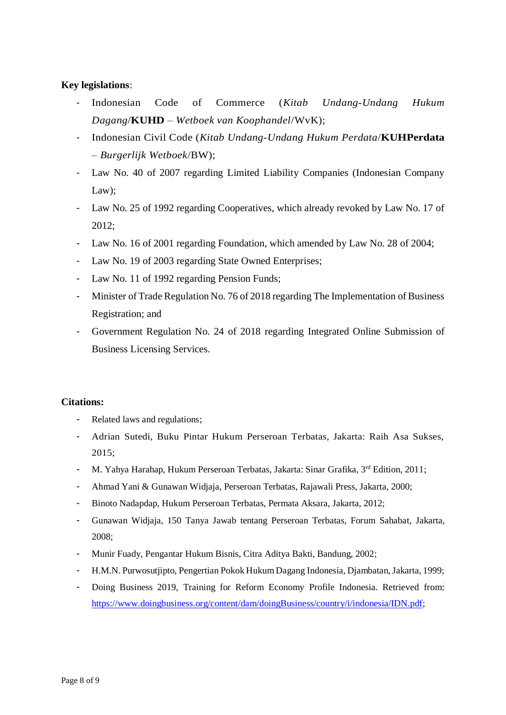#### **Key legislations**:

- Indonesian Code of Commerce (*Kitab Undang-Undang Hukum Dagang*/**KUHD** – *Wetboek van Koophandel*/WvK);
- Indonesian Civil Code (*Kitab Undang-Undang Hukum Perdata*/**KUHPerdata** – *Burgerlijk Wetboek*/BW);
- Law No. 40 of 2007 regarding Limited Liability Companies (Indonesian Company Law);
- Law No. 25 of 1992 regarding Cooperatives, which already revoked by Law No. 17 of 2012;
- Law No. 16 of 2001 regarding Foundation, which amended by Law No. 28 of 2004;
- Law No. 19 of 2003 regarding State Owned Enterprises;
- Law No. 11 of 1992 regarding Pension Funds;
- Minister of Trade Regulation No. 76 of 2018 regarding The Implementation of Business Registration; and
- Government Regulation No. 24 of 2018 regarding Integrated Online Submission of Business Licensing Services.

#### **Citations:**

- Related laws and regulations;
- Adrian Sutedi, Buku Pintar Hukum Perseroan Terbatas, Jakarta: Raih Asa Sukses, 2015;
- M. Yahya Harahap, Hukum Perseroan Terbatas, Jakarta: Sinar Grafika, 3rd Edition, 2011;
- Ahmad Yani & Gunawan Widjaja, Perseroan Terbatas, Rajawali Press, Jakarta, 2000;
- Binoto Nadapdap, Hukum Perseroan Terbatas, Permata Aksara, Jakarta, 2012;
- Gunawan Widjaja, 150 Tanya Jawab tentang Perseroan Terbatas, Forum Sahabat, Jakarta, 2008;
- Munir Fuady, Pengantar Hukum Bisnis, Citra Aditya Bakti, Bandung, 2002;
- H.M.N. Purwosutjipto, Pengertian Pokok Hukum Dagang Indonesia, Djambatan, Jakarta, 1999;
- Doing Business 2019, Training for Reform Economy Profile Indonesia. Retrieved from: [https://www.doingbusiness.org/content/dam/doingBusiness/country/i/indonesia/IDN.pdf;](https://www.doingbusiness.org/content/dam/doingBusiness/country/i/indonesia/IDN.pdf)